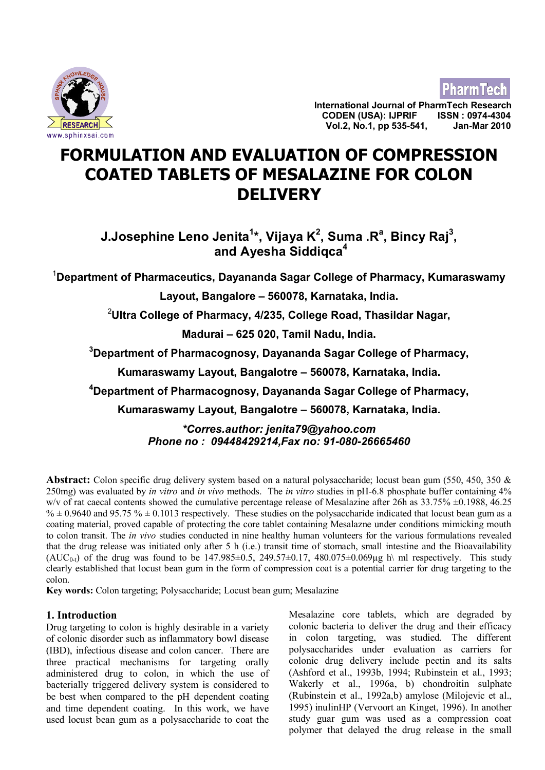**PharmTec** 



**International Journal of PharmTech Research CODEN (USA): IJPRIF ISSN : 0974-4304 Vol.2, No.1, pp 535-541, Jan-Mar 2010**

# **FORMULATION AND EVALUATION OF COMPRESSION COATED TABLETS OF MESALAZINE FOR COLON DELIVERY**

**J.Josephine Leno Jenita<sup>1</sup> \*, Vijaya K<sup>2</sup> , Suma .R<sup>a</sup> , Bincy Raj<sup>3</sup> , and Ayesha Siddiqca<sup>4</sup>**

<sup>1</sup>**Department of Pharmaceutics, Dayananda Sagar College of Pharmacy, Kumaraswamy**

**Layout, Bangalore – 560078, Karnataka, India.**

<sup>2</sup>**Ultra College of Pharmacy, 4/235, College Road, Thasildar Nagar,**

**Madurai – 625 020, Tamil Nadu, India.**

**<sup>3</sup>Department of Pharmacognosy, Dayananda Sagar College of Pharmacy,**

**Kumaraswamy Layout, Bangalotre – 560078, Karnataka, India.**

**<sup>4</sup>Department of Pharmacognosy, Dayananda Sagar College of Pharmacy,**

**Kumaraswamy Layout, Bangalotre – 560078, Karnataka, India.**

*\*Corres.author: jenita79@yahoo.com Phone no : 09448429214,Fax no: 91-080-26665460*

**Abstract:** Colon specific drug delivery system based on a natural polysaccharide; locust bean gum (550, 450, 350 & 250mg) was evaluated by *in vitro* and *in vivo* methods. The *in vitro* studies in pH-6.8 phosphate buffer containing 4% w/v of rat caecal contents showed the cumulative percentage release of Mesalazine after 26h as 33.75%  $\pm$ 0.1988, 46.25  $\% \pm 0.9640$  and 95.75  $\% \pm 0.1013$  respectively. These studies on the polysaccharide indicated that locust bean gum as a coating material, proved capable of protecting the core tablet containing Mesalazne under conditions mimicking mouth to colon transit. The *in vivo* studies conducted in nine healthy human volunteers for the various formulations revealed that the drug release was initiated only after 5 h (i.e.) transit time of stomach, small intestine and the Bioavailability (AUC<sub>0-t</sub>) of the drug was found to be 147.985 $\pm$ 0.5, 249.57 $\pm$ 0.17, 480.075 $\pm$ 0.069µg h\ ml respectively. This study clearly established that locust bean gum in the form of compression coat is a potential carrier for drug targeting to the colon.

**Key words:** Colon targeting; Polysaccharide; Locust bean gum; Mesalazine

# **1. Introduction**

Drug targeting to colon is highly desirable in a variety of colonic disorder such as inflammatory bowl disease (IBD), infectious disease and colon cancer. There are three practical mechanisms for targeting orally administered drug to colon, in which the use of bacterially triggered delivery system is considered to be best when compared to the pH dependent coating and time dependent coating. In this work, we have used locust bean gum as a polysaccharide to coat the

Mesalazine core tablets, which are degraded by colonic bacteria to deliver the drug and their efficacy in colon targeting, was studied. The different polysaccharides under evaluation as carriers for colonic drug delivery include pectin and its salts (Ashford et al., 1993b, 1994; Rubinstein et al., 1993; Wakerly et al., 1996a, b) chondroitin sulphate (Rubinstein et al., 1992a,b) amylose (Milojevic et al., 1995) inulinHP (Vervoort an Kinget, 1996). In another study guar gum was used as a compression coat polymer that delayed the drug release in the small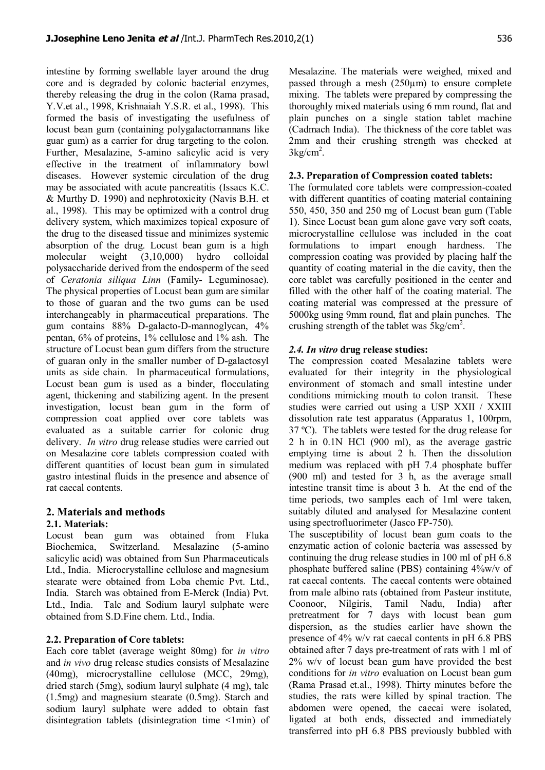intestine by forming swellable layer around the drug core and is degraded by colonic bacterial enzymes, thereby releasing the drug in the colon (Rama prasad, Y.V.et al., 1998, Krishnaiah Y.S.R. et al., 1998). This formed the basis of investigating the usefulness of locust bean gum (containing polygalactomannans like guar gum) as a carrier for drug targeting to the colon. Further, Mesalazine, 5-amino salicylic acid is very effective in the treatment of inflammatory bowl diseases. However systemic circulation of the drug may be associated with acute pancreatitis (Issacs K.C. & Murthy D. 1990) and nephrotoxicity (Navis B.H. et al., 1998). This may be optimized with a control drug delivery system, which maximizes topical exposure of the drug to the diseased tissue and minimizes systemic absorption of the drug. Locust bean gum is a high molecular weight (3,10,000) hydro colloidal polysaccharide derived from the endosperm of the seed of *Ceratonia siliqua Linn* (Family- Leguminosae). The physical properties of Locust bean gum are similar to those of guaran and the two gums can be used interchangeably in pharmaceutical preparations. The gum contains 88% D-galacto-D-mannoglycan, 4% pentan, 6% of proteins, 1% cellulose and 1% ash. The structure of Locust bean gum differs from the structure of guaran only in the smaller number of D-galactosyl units as side chain. In pharmaceutical formulations, Locust bean gum is used as a binder, flocculating agent, thickening and stabilizing agent. In the present investigation, locust bean gum in the form of compression coat applied over core tablets was evaluated as a suitable carrier for colonic drug delivery. *In vitro* drug release studies were carried out on Mesalazine core tablets compression coated with different quantities of locust bean gum in simulated gastro intestinal fluids in the presence and absence of rat caecal contents.

# **2. Materials and methods**

# **2.1. Materials:**

Locust bean gum was obtained from Fluka Biochemica, Switzerland. Mesalazine (5-amino salicylic acid) was obtained from Sun Pharmaceuticals Ltd., India. Microcrystalline cellulose and magnesium stearate were obtained from Loba chemic Pvt. Ltd., India. Starch was obtained from E-Merck (India) Pvt. Ltd., India. Talc and Sodium lauryl sulphate were obtained from S.D.Fine chem. Ltd., India.

# **2.2. Preparation of Core tablets:**

Each core tablet (average weight 80mg) for *in vitro* and *in vivo* drug release studies consists of Mesalazine (40mg), microcrystalline cellulose (MCC, 29mg), dried starch (5mg), sodium lauryl sulphate (4 mg), talc (1.5mg) and magnesium stearate (0.5mg). Starch and sodium lauryl sulphate were added to obtain fast disintegration tablets (disintegration time <1min) of Mesalazine. The materials were weighed, mixed and passed through a mesh  $(250\mu m)$  to ensure complete mixing. The tablets were prepared by compressing the thoroughly mixed materials using 6 mm round, flat and plain punches on a single station tablet machine (Cadmach India). The thickness of the core tablet was 2mm and their crushing strength was checked at  $3\text{kg/cm}^2$ .

## **2.3. Preparation of Compression coated tablets:**

The formulated core tablets were compression-coated with different quantities of coating material containing 550, 450, 350 and 250 mg of Locust bean gum (Table 1). Since Locust bean gum alone gave very soft coats, microcrystalline cellulose was included in the coat formulations to impart enough hardness. The compression coating was provided by placing half the quantity of coating material in the die cavity, then the core tablet was carefully positioned in the center and filled with the other half of the coating material. The coating material was compressed at the pressure of 5000kg using 9mm round, flat and plain punches. The crushing strength of the tablet was  $\frac{5 \text{kg/cm}^2}{2}$ .

# *2.4. In vitro* **drug release studies:**

The compression coated Mesalazine tablets were evaluated for their integrity in the physiological environment of stomach and small intestine under conditions mimicking mouth to colon transit. These studies were carried out using a USP XXII / XXIII dissolution rate test apparatus (Apparatus 1, 100rpm, 37 ºC). The tablets were tested for the drug release for 2 h in 0.1N HCl (900 ml), as the average gastric emptying time is about 2 h. Then the dissolution medium was replaced with pH 7.4 phosphate buffer (900 ml) and tested for 3 h, as the average small intestine transit time is about 3 h. At the end of the time periods, two samples each of 1ml were taken, suitably diluted and analysed for Mesalazine content using spectrofluorimeter (Jasco FP-750).

The susceptibility of locust bean gum coats to the enzymatic action of colonic bacteria was assessed by continuing the drug release studies in 100 ml of pH 6.8 phosphate buffered saline (PBS) containing 4%w/v of rat caecal contents. The caecal contents were obtained from male albino rats (obtained from Pasteur institute, Coonoor, Nilgiris, Tamil Nadu, India) after pretreatment for 7 days with locust bean gum dispersion, as the studies earlier have shown the presence of 4% w/v rat caecal contents in pH 6.8 PBS obtained after 7 days pre-treatment of rats with 1 ml of 2% w/v of locust bean gum have provided the best conditions for *in vitro* evaluation on Locust bean gum (Rama Prasad et.al., 1998). Thirty minutes before the studies, the rats were killed by spinal traction. The abdomen were opened, the caecai were isolated, ligated at both ends, dissected and immediately transferred into pH 6.8 PBS previously bubbled with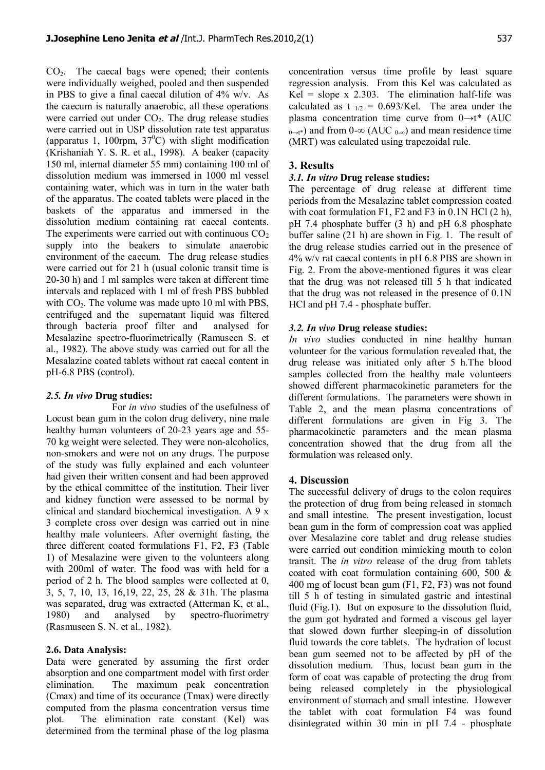$CO<sub>2</sub>$ . The caecal bags were opened; their contents were individually weighed, pooled and then suspended in PBS to give a final caecal dilution of 4% w/v. As the caecum is naturally anaerobic, all these operations were carried out under  $CO<sub>2</sub>$ . The drug release studies were carried out in USP dissolution rate test apparatus (apparatus 1, 100rpm,  $37^{\circ}$ C) with slight modification (Krishaniah Y. S. R. et al., 1998). A beaker (capacity 150 ml, internal diameter 55 mm) containing 100 ml of dissolution medium was immersed in 1000 ml vessel containing water, which was in turn in the water bath of the apparatus. The coated tablets were placed in the baskets of the apparatus and immersed in the dissolution medium containing rat caecal contents. The experiments were carried out with continuous  $CO<sub>2</sub>$ supply into the beakers to simulate anaerobic environment of the caecum. The drug release studies were carried out for 21 h (usual colonic transit time is 20-30 h) and 1 ml samples were taken at different time intervals and replaced with 1 ml of fresh PBS bubbled with  $CO<sub>2</sub>$ . The volume was made upto 10 ml with PBS, centrifuged and the supernatant liquid was filtered through bacteria proof filter and analysed for Mesalazine spectro-fluorimetrically (Ramuseen S. et al., 1982). The above study was carried out for all the Mesalazine coated tablets without rat caecal content in pH-6.8 PBS (control).

#### *2.5. In vivo* **Drug studies:**

For *in vivo* studies of the usefulness of Locust bean gum in the colon drug delivery, nine male healthy human volunteers of 20-23 years age and 55- 70 kg weight were selected. They were non-alcoholics, non-smokers and were not on any drugs. The purpose of the study was fully explained and each volunteer had given their written consent and had been approved by the ethical committee of the institution. Their liver and kidney function were assessed to be normal by clinical and standard biochemical investigation. A 9 x 3 complete cross over design was carried out in nine healthy male volunteers. After overnight fasting, the three different coated formulations F1, F2, F3 (Table 1) of Mesalazine were given to the volunteers along with 200ml of water. The food was with held for a period of 2 h. The blood samples were collected at 0, 3, 5, 7, 10, 13, 16,19, 22, 25, 28 & 31h. The plasma was separated, drug was extracted (Atterman K, et al., 1980) and analysed by spectro-fluorimetry (Rasmuseen S. N. et al., 1982).

#### **2.6. Data Analysis:**

Data were generated by assuming the first order absorption and one compartment model with first order elimination. The maximum peak concentration (Cmax) and time of its occurance (Tmax) were directly computed from the plasma concentration versus time plot. The elimination rate constant (Kel) was determined from the terminal phase of the log plasma

concentration versus time profile by least square regression analysis. From this Kel was calculated as  $Kel = slope \times 2.303$ . The elimination half-life was calculated as t  $_{1/2}$  = 0.693/Kel. The area under the plasma concentration time curve from 0→t\* (AUC  $_{0\rightarrow t^*}$ ) and from 0- $\infty$  (AUC  $_{0\rightarrow\infty}$ ) and mean residence time (MRT) was calculated using trapezoidal rule.

#### **3. Results**

#### *3.1. In vitro* **Drug release studies:**

The percentage of drug release at different time periods from the Mesalazine tablet compression coated with coat formulation F1, F2 and F3 in  $0.1N$  HCl  $(2 h)$ , pH 7.4 phosphate buffer (3 h) and pH 6.8 phosphate buffer saline (21 h) are shown in Fig. 1. The result of the drug release studies carried out in the presence of 4% w/v rat caecal contents in pH 6.8 PBS are shown in Fig. 2. From the above-mentioned figures it was clear that the drug was not released till 5 h that indicated that the drug was not released in the presence of 0.1N HCl and pH 7.4 - phosphate buffer.

#### *3.2. In vivo* **Drug release studies:**

*In vivo* studies conducted in nine healthy human volunteer for the various formulation revealed that, the drug release was initiated only after 5 h.The blood samples collected from the healthy male volunteers showed different pharmacokinetic parameters for the different formulations. The parameters were shown in Table 2, and the mean plasma concentrations of different formulations are given in Fig 3. The pharmacokinetic parameters and the mean plasma concentration showed that the drug from all the formulation was released only.

#### **4. Discussion**

The successful delivery of drugs to the colon requires the protection of drug from being released in stomach and small intestine. The present investigation, locust bean gum in the form of compression coat was applied over Mesalazine core tablet and drug release studies were carried out condition mimicking mouth to colon transit. The *in vitro* release of the drug from tablets coated with coat formulation containing 600, 500 & 400 mg of locust bean gum (F1, F2, F3) was not found till 5 h of testing in simulated gastric and intestinal fluid (Fig.1). But on exposure to the dissolution fluid, the gum got hydrated and formed a viscous gel layer that slowed down further sleeping-in of dissolution fluid towards the core tablets. The hydration of locust bean gum seemed not to be affected by pH of the dissolution medium. Thus, locust bean gum in the form of coat was capable of protecting the drug from being released completely in the physiological environment of stomach and small intestine. However the tablet with coat formulation F4 was found disintegrated within 30 min in pH 7.4 - phosphate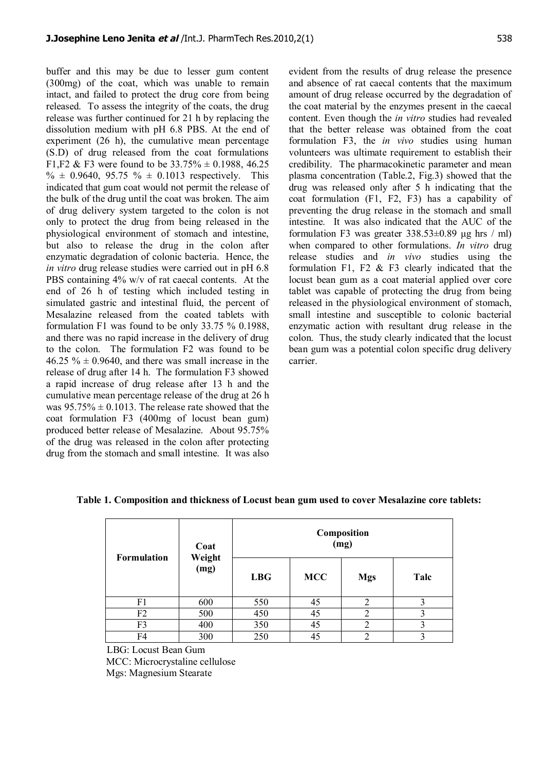buffer and this may be due to lesser gum content (300mg) of the coat, which was unable to remain intact, and failed to protect the drug core from being released. To assess the integrity of the coats, the drug release was further continued for 21 h by replacing the dissolution medium with pH 6.8 PBS. At the end of experiment (26 h), the cumulative mean percentage (S.D) of drug released from the coat formulations F1,F2 & F3 were found to be  $33.75\% \pm 0.1988$ , 46.25  $\% \pm 0.9640$ , 95.75  $\% \pm 0.1013$  respectively. This indicated that gum coat would not permit the release of the bulk of the drug until the coat was broken. The aim of drug delivery system targeted to the colon is not only to protect the drug from being released in the physiological environment of stomach and intestine, but also to release the drug in the colon after enzymatic degradation of colonic bacteria. Hence, the *in vitro* drug release studies were carried out in pH 6.8 PBS containing 4% w/v of rat caecal contents. At the end of 26 h of testing which included testing in simulated gastric and intestinal fluid, the percent of Mesalazine released from the coated tablets with formulation F1 was found to be only 33.75 % 0.1988, and there was no rapid increase in the delivery of drug to the colon. The formulation F2 was found to be 46.25  $\% \pm 0.9640$ , and there was small increase in the release of drug after 14 h. The formulation F3 showed a rapid increase of drug release after 13 h and the cumulative mean percentage release of the drug at 26 h was  $95.75\% \pm 0.1013$ . The release rate showed that the coat formulation F3 (400mg of locust bean gum) produced better release of Mesalazine. About 95.75% of the drug was released in the colon after protecting drug from the stomach and small intestine. It was also

evident from the results of drug release the presence and absence of rat caecal contents that the maximum amount of drug release occurred by the degradation of the coat material by the enzymes present in the caecal content. Even though the *in vitro* studies had revealed that the better release was obtained from the coat formulation F3, the *in vivo* studies using human volunteers was ultimate requirement to establish their credibility. The pharmacokinetic parameter and mean plasma concentration (Table.2, Fig.3) showed that the drug was released only after 5 h indicating that the coat formulation (F1, F2, F3) has a capability of preventing the drug release in the stomach and small intestine. It was also indicated that the AUC of the formulation F3 was greater  $338.53\pm0.89$  μg hrs / ml) when compared to other formulations. *In vitro* drug release studies and *in vivo* studies using the formulation F1, F2 & F3 clearly indicated that the locust bean gum as a coat material applied over core tablet was capable of protecting the drug from being released in the physiological environment of stomach, small intestine and susceptible to colonic bacterial enzymatic action with resultant drug release in the colon. Thus, the study clearly indicated that the locust bean gum was a potential colon specific drug delivery carrier.

| <b>Formulation</b> | Coat<br>Weight<br>(mg) | Composition<br>(mg) |            |                |      |
|--------------------|------------------------|---------------------|------------|----------------|------|
|                    |                        | <b>LBG</b>          | <b>MCC</b> | <b>Mgs</b>     | Talc |
| F1                 | 600                    | 550                 | 45         | $\overline{2}$ |      |
| F2                 | 500                    | 450                 | 45         | $\overline{2}$ | 3    |
| F3                 | 400                    | 350                 | 45         | $\overline{2}$ | 3    |
| F4                 | 300                    | 250                 | 45         | $\overline{2}$ | 3    |

**Table 1. Composition and thickness of Locust bean gum used to cover Mesalazine core tablets:**

 LBG: Locust Bean Gum MCC: Microcrystaline cellulose Mgs: Magnesium Stearate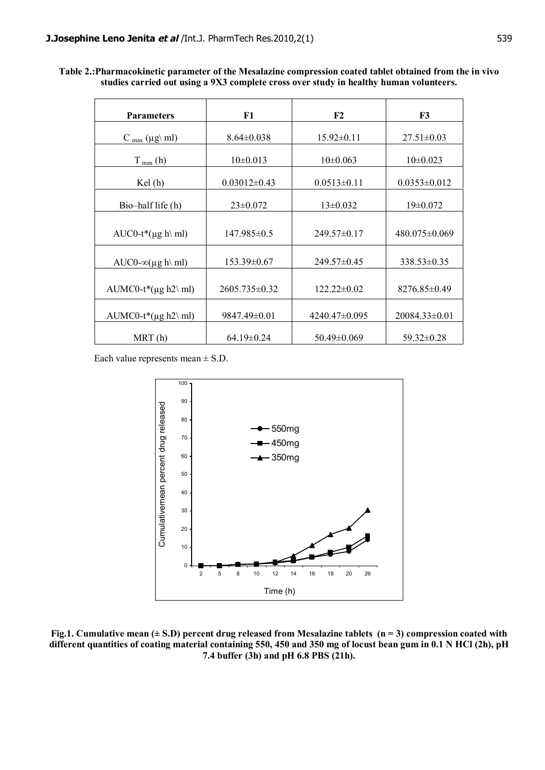| <b>Parameters</b>                    | F1                | F2                | F3                  |
|--------------------------------------|-------------------|-------------------|---------------------|
| C $_{\text{max}}$ (µg\ ml)           | $8.64 \pm 0.038$  | $15.92 \pm 0.11$  | $27.51 \pm 0.03$    |
| $T_{max}(h)$                         | $10\pm0.013$      | $10\pm0.063$      | $10\pm0.023$        |
| Kel(h)                               | $0.03012\pm0.43$  | $0.0513 \pm 0.11$ | $0.0353 \pm 0.012$  |
| Bio-half life (h)                    | $23 \pm 0.072$    | $13 \pm 0.032$    | $19\pm0.072$        |
|                                      |                   |                   |                     |
| AUC0-t <sup>*</sup> ( $\mu$ g h\ ml) | $147.985 \pm 0.5$ | $249.57 \pm 0.17$ | $480.075 \pm 0.069$ |
| AUC0- $\infty(\mu g h \mid m!)$      | $153.39\pm0.67$   | 249.57±0.45       | $338.53 \pm 0.35$   |
| AUMC0-t*( $\mu$ g h2\ ml)            | 2605.735 ± 0.32   | $122.22 \pm 0.02$ | $8276.85 \pm 0.49$  |
| AUMC0-t*( $\mu$ g h2\ ml)            | 9847.49±0.01      | 4240.47±0.095     | $20084.33\pm0.01$   |
| MRT(h)                               | $64.19 \pm 0.24$  | $50.49 \pm 0.069$ | $59.32 \pm 0.28$    |

**Table 2.:Pharmacokinetic parameter of the Mesalazine compression coated tablet obtained from the in vivo studies carried out using a 9X3 complete cross over study in healthy human volunteers.**

Each value represents mean  $\pm$  S.D.



**Fig.1. Cumulative mean (± S.D) percent drug released from Mesalazine tablets (n = 3) compression coated with different quantities of coating material containing 550, 450 and 350 mg of locust bean gum in 0.1 N HCl (2h), pH 7.4 buffer (3h) and pH 6.8 PBS (21h).**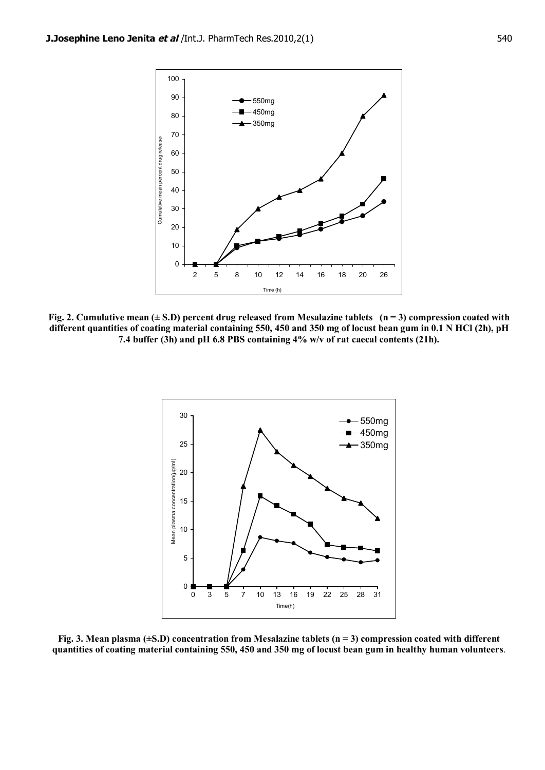

**Fig. 2. Cumulative mean (± S.D) percent drug released from Mesalazine tablets (n = 3) compression coated with different quantities of coating material containing 550, 450 and 350 mg of locust bean gum in 0.1 N HCl (2h), pH 7.4 buffer (3h) and pH 6.8 PBS containing 4% w/v of rat caecal contents (21h).**



**Fig. 3. Mean plasma (±S.D) concentration from Mesalazine tablets (n = 3) compression coated with different quantities of coating material containing 550, 450 and 350 mg of locust bean gum in healthy human volunteers**.